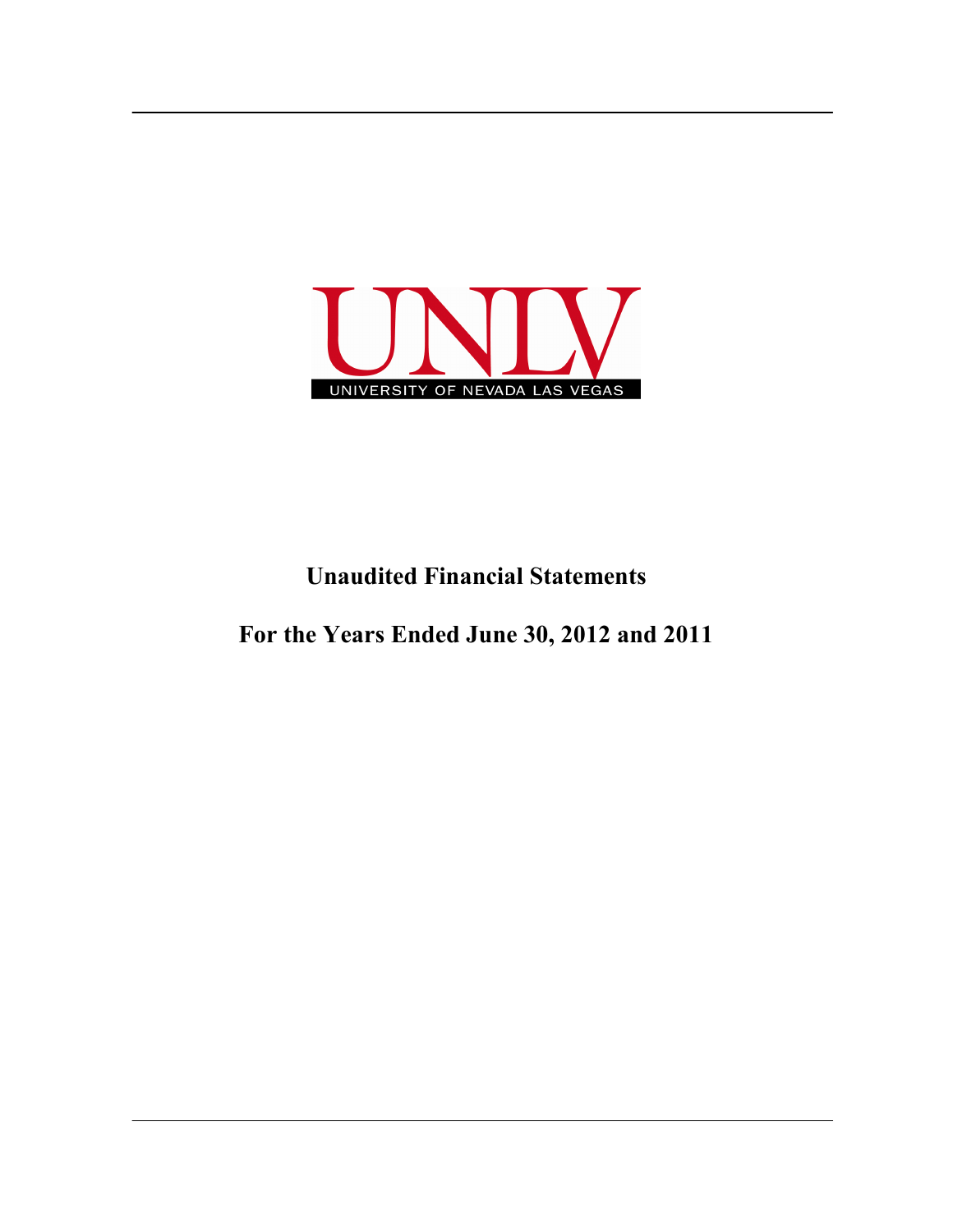

## **Unaudited Financial Statements**

**For the Years Ended June 30, 2012 and 2011**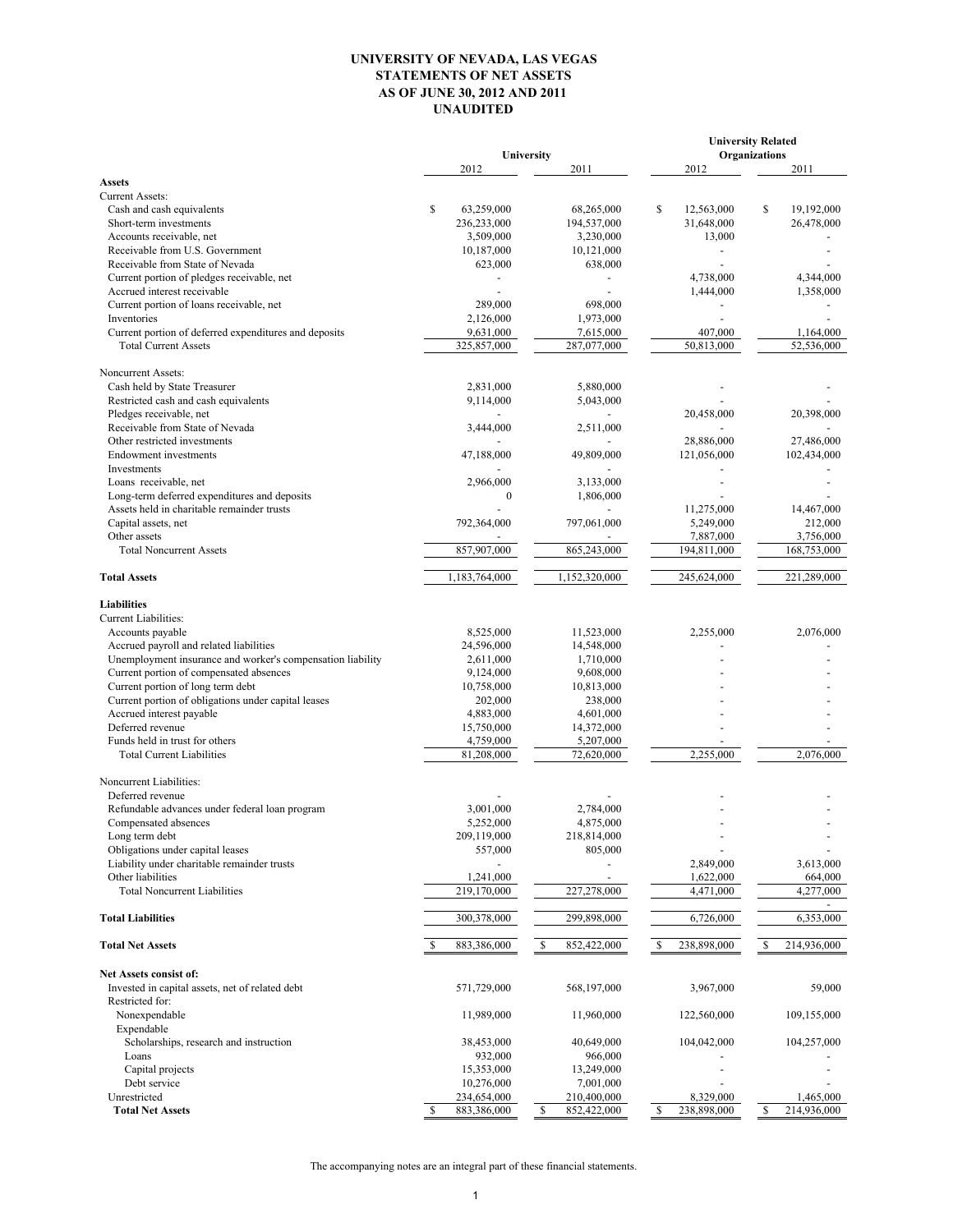## **UNIVERSITY OF NEVADA, LAS VEGAS STATEMENTS OF NET ASSETS AS OF JUNE 30, 2012 AND 2011 UNAUDITED**

|                                                                         |                          |                              | <b>University Related</b>             |                              |  |  |
|-------------------------------------------------------------------------|--------------------------|------------------------------|---------------------------------------|------------------------------|--|--|
|                                                                         | 2012                     | University<br>2011           | 2012                                  | <b>Organizations</b><br>2011 |  |  |
| <b>Assets</b>                                                           |                          |                              |                                       |                              |  |  |
| <b>Current Assets:</b>                                                  |                          |                              |                                       |                              |  |  |
| Cash and cash equivalents                                               | \$<br>63,259,000         | 68,265,000                   | \$<br>12,563,000                      | \$<br>19,192,000             |  |  |
| Short-term investments                                                  | 236,233,000              | 194,537,000                  | 31,648,000                            | 26,478,000                   |  |  |
| Accounts receivable, net                                                | 3,509,000                | 3,230,000                    | 13,000                                |                              |  |  |
| Receivable from U.S. Government                                         | 10,187,000               | 10,121,000                   |                                       |                              |  |  |
| Receivable from State of Nevada                                         | 623,000                  | 638,000                      |                                       |                              |  |  |
| Current portion of pledges receivable, net                              |                          |                              | 4,738,000                             | 4,344,000                    |  |  |
| Accrued interest receivable<br>Current portion of loans receivable, net | 289,000                  | 698,000                      | 1,444,000<br>$\overline{\phantom{a}}$ | 1,358,000                    |  |  |
| Inventories                                                             | 2,126,000                | 1,973,000                    |                                       |                              |  |  |
| Current portion of deferred expenditures and deposits                   | 9,631,000                | 7,615,000                    | 407,000                               | 1,164,000                    |  |  |
| <b>Total Current Assets</b>                                             | 325,857,000              | 287,077,000                  | 50,813,000                            | 52,536,000                   |  |  |
|                                                                         |                          |                              |                                       |                              |  |  |
| Noncurrent Assets:<br>Cash held by State Treasurer                      | 2,831,000                | 5,880,000                    |                                       |                              |  |  |
| Restricted cash and cash equivalents                                    | 9,114,000                | 5,043,000                    |                                       |                              |  |  |
| Pledges receivable, net                                                 |                          |                              | 20,458,000                            | 20,398,000                   |  |  |
| Receivable from State of Nevada                                         | 3,444,000                | 2,511,000                    |                                       |                              |  |  |
| Other restricted investments                                            |                          |                              | 28,886,000                            | 27,486,000                   |  |  |
| <b>Endowment</b> investments                                            | 47,188,000               | 49,809,000                   | 121,056,000                           | 102,434,000                  |  |  |
| Investments                                                             |                          |                              |                                       |                              |  |  |
| Loans receivable, net                                                   | 2,966,000                | 3,133,000                    |                                       |                              |  |  |
| Long-term deferred expenditures and deposits                            | $\mathbf{0}$             | 1,806,000                    |                                       |                              |  |  |
| Assets held in charitable remainder trusts                              |                          |                              | 11,275,000                            | 14,467,000                   |  |  |
| Capital assets, net                                                     | 792,364,000              | 797,061,000                  | 5,249,000                             | 212,000                      |  |  |
| Other assets                                                            |                          |                              | 7,887,000                             | 3,756,000                    |  |  |
| <b>Total Noncurrent Assets</b>                                          | 857,907,000              | 865,243,000                  | 194,811,000                           | 168,753,000                  |  |  |
| <b>Total Assets</b>                                                     | 1,183,764,000            | 1,152,320,000                | 245,624,000                           | 221,289,000                  |  |  |
|                                                                         |                          |                              |                                       |                              |  |  |
| <b>Liabilities</b>                                                      |                          |                              |                                       |                              |  |  |
| Current Liabilities:                                                    |                          |                              | 2,255,000                             |                              |  |  |
| Accounts payable<br>Accrued payroll and related liabilities             | 8,525,000<br>24,596,000  | 11,523,000<br>14,548,000     |                                       | 2,076,000                    |  |  |
| Unemployment insurance and worker's compensation liability              | 2,611,000                | 1,710,000                    |                                       |                              |  |  |
| Current portion of compensated absences                                 | 9,124,000                | 9,608,000                    |                                       |                              |  |  |
| Current portion of long term debt                                       | 10,758,000               | 10,813,000                   |                                       |                              |  |  |
| Current portion of obligations under capital leases                     | 202,000                  | 238,000                      |                                       |                              |  |  |
| Accrued interest payable                                                | 4,883,000                | 4,601,000                    |                                       |                              |  |  |
| Deferred revenue                                                        | 15,750,000               | 14,372,000                   |                                       |                              |  |  |
| Funds held in trust for others                                          | 4,759,000                | 5,207,000                    |                                       |                              |  |  |
| <b>Total Current Liabilities</b>                                        | 81,208,000               | 72,620,000                   | 2,255,000                             | 2.076.000                    |  |  |
|                                                                         |                          |                              |                                       |                              |  |  |
| Noncurrent Liabilities:                                                 |                          |                              |                                       |                              |  |  |
| Deferred revenue                                                        |                          |                              |                                       |                              |  |  |
| Refundable advances under federal loan program                          | 3,001,000                | 2,784,000                    |                                       |                              |  |  |
| Compensated absences<br>Long term debt                                  | 5,252,000<br>209,119,000 | 4,875,000                    |                                       |                              |  |  |
| Obligations under capital leases                                        | 557,000                  | 218,814,000<br>805,000       |                                       |                              |  |  |
| Liability under charitable remainder trusts                             |                          |                              | 2,849,000                             | 3,613,000                    |  |  |
| Other liabilities                                                       | 1,241,000                |                              | 1,622,000                             | 664,000                      |  |  |
| <b>Total Noncurrent Liabilities</b>                                     | 219,170,000              | 227,278,000                  | 4,471,000                             | 4,277,000                    |  |  |
| <b>Total Liabilities</b>                                                | 300,378,000              | 299,898,000                  | 6,726,000                             | 6,353,000                    |  |  |
| <b>Total Net Assets</b>                                                 |                          |                              |                                       |                              |  |  |
|                                                                         | 883,386,000              | <sup>\$</sup><br>852,422,000 | 238,898,000<br>S                      | 214,936,000<br><b>S</b>      |  |  |
| Net Assets consist of:                                                  |                          |                              |                                       |                              |  |  |
| Invested in capital assets, net of related debt                         | 571,729,000              | 568,197,000                  | 3,967,000                             | 59,000                       |  |  |
| Restricted for:                                                         |                          |                              |                                       |                              |  |  |
| Nonexpendable                                                           | 11,989,000               | 11,960,000                   | 122,560,000                           | 109,155,000                  |  |  |
| Expendable                                                              |                          |                              |                                       |                              |  |  |
| Scholarships, research and instruction                                  | 38,453,000               | 40,649,000                   | 104,042,000                           | 104,257,000                  |  |  |
| Loans                                                                   | 932,000                  | 966,000                      |                                       |                              |  |  |
| Capital projects                                                        | 15,353,000               | 13,249,000                   |                                       |                              |  |  |
| Debt service                                                            | 10,276,000               | 7,001,000                    |                                       |                              |  |  |
| Unrestricted                                                            | 234,654,000              | 210,400,000                  | 8,329,000                             | 1,465,000                    |  |  |
| <b>Total Net Assets</b>                                                 | 883,386,000<br>S         | 852,422,000<br><sup>\$</sup> | 238,898,000<br>S                      | 214,936,000<br>S             |  |  |

The accompanying notes are an integral part of these financial statements.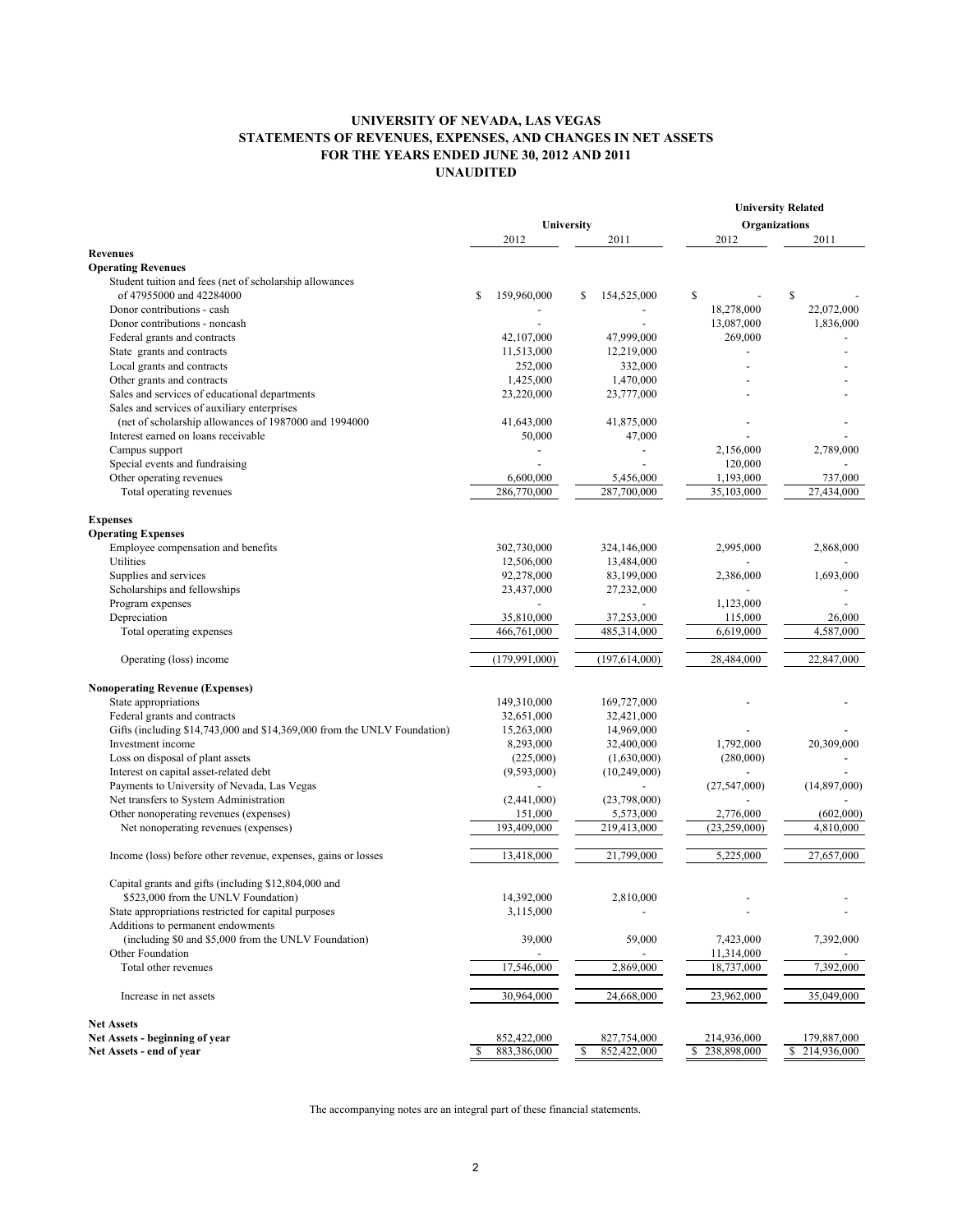## **UNIVERSITY OF NEVADA, LAS VEGAS STATEMENTS OF REVENUES, EXPENSES, AND CHANGES IN NET ASSETS FOR THE YEARS ENDED JUNE 30, 2012 AND 2011 UNAUDITED**

|                                                                          |            |                 |               | <b>University Related</b> |    |                |    |              |
|--------------------------------------------------------------------------|------------|-----------------|---------------|---------------------------|----|----------------|----|--------------|
|                                                                          | University |                 | Organizations |                           |    |                |    |              |
|                                                                          |            | 2012            |               | 2011                      |    | 2012           |    | 2011         |
| <b>Revenues</b>                                                          |            |                 |               |                           |    |                |    |              |
| <b>Operating Revenues</b>                                                |            |                 |               |                           |    |                |    |              |
| Student tuition and fees (net of scholarship allowances                  |            |                 |               |                           |    |                |    |              |
| of 47955000 and 42284000                                                 | \$         | 159,960,000     | \$            | 154,525,000               | \$ |                | \$ |              |
| Donor contributions - cash                                               |            |                 |               |                           |    | 18,278,000     |    | 22,072,000   |
| Donor contributions - noncash                                            |            |                 |               |                           |    | 13,087,000     |    | 1,836,000    |
| Federal grants and contracts                                             |            | 42,107,000      |               | 47,999,000                |    | 269,000        |    |              |
| State grants and contracts                                               |            | 11,513,000      |               | 12,219,000                |    |                |    |              |
| Local grants and contracts                                               |            | 252,000         |               | 332,000                   |    |                |    |              |
| Other grants and contracts                                               |            | 1,425,000       |               | 1,470,000                 |    |                |    |              |
| Sales and services of educational departments                            |            | 23,220,000      |               | 23,777,000                |    |                |    |              |
| Sales and services of auxiliary enterprises                              |            |                 |               |                           |    |                |    |              |
| (net of scholarship allowances of 1987000 and 1994000                    |            | 41,643,000      |               | 41,875,000                |    |                |    |              |
| Interest earned on loans receivable                                      |            | 50,000          |               | 47,000                    |    |                |    |              |
| Campus support                                                           |            |                 |               | $\overline{a}$            |    | 2,156,000      |    | 2,789,000    |
| Special events and fundraising                                           |            |                 |               |                           |    | 120,000        |    |              |
| Other operating revenues                                                 |            | 6,600,000       |               | 5,456,000                 |    | 1,193,000      |    | 737,000      |
| Total operating revenues                                                 |            | 286,770,000     |               | 287,700,000               |    | 35,103,000     |    | 27,434,000   |
|                                                                          |            |                 |               |                           |    |                |    |              |
| <b>Expenses</b>                                                          |            |                 |               |                           |    |                |    |              |
| <b>Operating Expenses</b>                                                |            |                 |               |                           |    |                |    |              |
| Employee compensation and benefits                                       |            | 302,730,000     |               | 324,146,000               |    | 2,995,000      |    | 2,868,000    |
| Utilities                                                                |            | 12,506,000      |               | 13,484,000                |    |                |    |              |
| Supplies and services                                                    |            | 92,278,000      |               | 83,199,000                |    | 2,386,000      |    | 1,693,000    |
| Scholarships and fellowships                                             |            | 23,437,000      |               | 27,232,000                |    |                |    |              |
| Program expenses                                                         |            |                 |               |                           |    | 1,123,000      |    |              |
| Depreciation                                                             |            | 35,810,000      |               | 37,253,000                |    | 115,000        |    | 26,000       |
| Total operating expenses                                                 |            | 466,761,000     |               | 485,314,000               |    | 6,619,000      |    | 4,587,000    |
|                                                                          |            |                 |               |                           |    |                |    |              |
| Operating (loss) income                                                  |            | (179, 991, 000) |               | (197, 614, 000)           |    | 28,484,000     |    | 22,847,000   |
| <b>Nonoperating Revenue (Expenses)</b>                                   |            |                 |               |                           |    |                |    |              |
| State appropriations                                                     |            | 149,310,000     |               | 169,727,000               |    |                |    |              |
| Federal grants and contracts                                             |            | 32,651,000      |               | 32,421,000                |    |                |    |              |
| Gifts (including \$14,743,000 and \$14,369,000 from the UNLV Foundation) |            | 15,263,000      |               | 14,969,000                |    |                |    |              |
| Investment income                                                        |            | 8,293,000       |               | 32,400,000                |    | 1,792,000      |    | 20,309,000   |
| Loss on disposal of plant assets                                         |            | (225,000)       |               | (1,630,000)               |    | (280,000)      |    |              |
| Interest on capital asset-related debt                                   |            | (9,593,000)     |               | (10, 249, 000)            |    |                |    |              |
| Payments to University of Nevada, Las Vegas                              |            |                 |               |                           |    | (27, 547, 000) |    | (14,897,000) |
| Net transfers to System Administration                                   |            | (2,441,000)     |               | (23,798,000)              |    |                |    |              |
| Other nonoperating revenues (expenses)                                   |            | 151,000         |               | 5,573,000                 |    | 2,776,000      |    | (602,000)    |
| Net nonoperating revenues (expenses)                                     |            | 193,409,000     |               | 219,413,000               |    | (23, 259, 000) |    | 4,810,000    |
|                                                                          |            |                 |               |                           |    |                |    |              |
| Income (loss) before other revenue, expenses, gains or losses            |            | 13,418,000      |               | 21,799,000                |    | 5,225,000      |    | 27,657,000   |
| Capital grants and gifts (including \$12,804,000 and                     |            |                 |               |                           |    |                |    |              |
| \$523,000 from the UNLV Foundation)                                      |            | 14,392,000      |               | 2,810,000                 |    |                |    |              |
| State appropriations restricted for capital purposes                     |            | 3,115,000       |               |                           |    |                |    |              |
| Additions to permanent endowments                                        |            |                 |               |                           |    |                |    |              |
| (including \$0 and \$5,000 from the UNLV Foundation)                     |            | 39,000          |               | 59,000                    |    | 7,423,000      |    | 7,392,000    |
| Other Foundation                                                         |            |                 |               |                           |    | 11,314,000     |    |              |
| Total other revenues                                                     |            | 17,546,000      |               | 2,869,000                 |    | 18,737,000     |    | 7,392,000    |
| Increase in net assets                                                   |            | 30,964,000      |               | 24,668,000                |    | 23,962,000     |    | 35,049,000   |
| <b>Net Assets</b>                                                        |            |                 |               |                           |    |                |    |              |
| Net Assets - beginning of year                                           |            | 852,422,000     |               | 827,754,000               |    | 214,936,000    |    | 179,887,000  |
| Net Assets - end of year                                                 |            | 883,386,000     |               | 852,422,000               |    | \$238,898,000  | \$ | 214,936,000  |
|                                                                          |            |                 |               |                           |    |                |    |              |

The accompanying notes are an integral part of these financial statements.